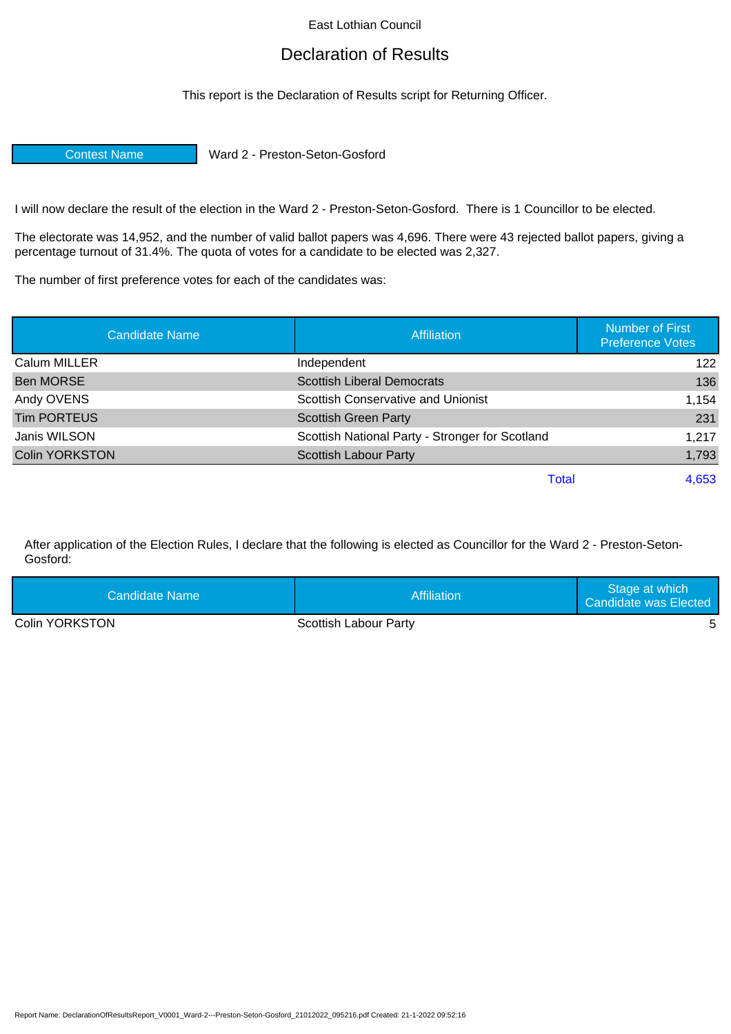East Lothian Council

## Declaration of Results

This report is the Declaration of Results script for Returning Officer.

Contest Name Ward 2 - Preston-Seton-Gosford

I will now declare the result of the election in the Ward 2 - Preston-Seton-Gosford. There is 1 Councillor to be elected.

The electorate was 14,952, and the number of valid ballot papers was 4,696. There were 43 rejected ballot papers, giving a percentage turnout of 31.4%. The quota of votes for a candidate to be elected was 2,327.

The number of first preference votes for each of the candidates was:

| <b>Candidate Name</b> | <b>Affiliation</b>                              | <b>Number of First</b><br><b>Preference Votes</b> |
|-----------------------|-------------------------------------------------|---------------------------------------------------|
| Calum MILLER          | Independent                                     | 122                                               |
| <b>Ben MORSE</b>      | <b>Scottish Liberal Democrats</b>               | 136                                               |
| Andy OVENS            | Scottish Conservative and Unionist              | 1,154                                             |
| <b>Tim PORTEUS</b>    | <b>Scottish Green Party</b>                     | 231                                               |
| Janis WILSON          | Scottish National Party - Stronger for Scotland | 1,217                                             |
| <b>Colin YORKSTON</b> | <b>Scottish Labour Party</b>                    | 1,793                                             |
|                       | Total                                           | 4,653                                             |

After application of the Election Rules, I declare that the following is elected as Councillor for the Ward 2 - Preston-Seton-Gosford:

| Candidate Name I      | Affiliation           | Stage at which<br>Candidate was Elected |
|-----------------------|-----------------------|-----------------------------------------|
| <b>Colin YORKSTON</b> | Scottish Labour Party |                                         |